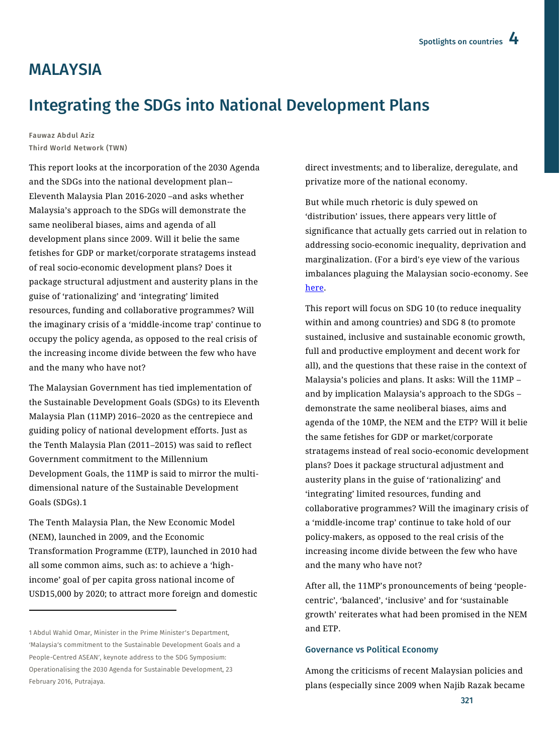# **MAI AYSIA**

# Integrating the SDGs into National Development Plans

Fauwaz Abdul Aziz Third World Network (TWN)

This report looks at the incorporation of the 2030 Agenda and the SDGs into the national development plan-- Eleventh Malaysia Plan 2016-2020 –and asks whether Malaysia's approach to the SDGs will demonstrate the same neoliberal biases, aims and agenda of all development plans since 2009. Will it belie the same fetishes for GDP or market/corporate stratagems instead of real socio-economic development plans? Does it package structural adjustment and austerity plans in the guise of 'rationalizing' and 'integrating' limited resources, funding and collaborative programmes? Will the imaginary crisis of a 'middle-income trap' continue to occupy the policy agenda, as opposed to the real crisis of the increasing income divide between the few who have and the many who have not?

The Malaysian Government has tied implementation of the Sustainable Development Goals (SDGs) to its Eleventh Malaysia Plan (11MP) 2016–2020 as the centrepiece and guiding policy of national development efforts. Just as the Tenth Malaysia Plan (2011–2015) was said to reflect Government commitment to the Millennium Development Goals, the 11MP is said to mirror the multidimensional nature of the Sustainable Development Goals (SDGs).1

The Tenth Malaysia Plan, the New Economic Model (NEM), launched in 2009, and the Economic Transformation Programme (ETP), launched in 2010 had all some common aims, such as: to achieve a 'highincome' goal of per capita gross national income of USD15,000 by 2020; to attract more foreign and domestic

 $\overline{a}$ 

direct investments; and to liberalize, deregulate, and privatize more of the national economy.

But while much rhetoric is duly spewed on 'distribution' issues, there appears very little of significance that actually gets carried out in relation to addressing socio-economic inequality, deprivation and marginalization. (For a bird's eye view of the various imbalances plaguing the Malaysian socio-economy. See [here.](http://www.socialwatchreport.com.my/malaysia/%20state-of-the-malaysian-socio-economy.pdf)

This report will focus on SDG 10 (to reduce inequality within and among countries) and SDG 8 (to promote sustained, inclusive and sustainable economic growth, full and productive employment and decent work for all), and the questions that these raise in the context of Malaysia's policies and plans. It asks: Will the 11MP – and by implication Malaysia's approach to the SDGs – demonstrate the same neoliberal biases, aims and agenda of the 10MP, the NEM and the ETP? Will it belie the same fetishes for GDP or market/corporate stratagems instead of real socio-economic development plans? Does it package structural adjustment and austerity plans in the guise of 'rationalizing' and 'integrating' limited resources, funding and collaborative programmes? Will the imaginary crisis of a 'middle-income trap' continue to take hold of our policy-makers, as opposed to the real crisis of the increasing income divide between the few who have and the many who have not?

After all, the 11MP's pronouncements of being 'peoplecentric', 'balanced', 'inclusive' and for 'sustainable growth' reiterates what had been promised in the NEM and ETP.

#### Governance vs Political Economy

Among the criticisms of recent Malaysian policies and plans (especially since 2009 when Najib Razak became

<sup>1</sup> Abdul Wahid Omar, Minister in the Prime Minister's Department, 'Malaysia's commitment to the Sustainable Development Goals and a People-Centred ASEAN', keynote address to the SDG Symposium: Operationalising the 2030 Agenda for Sustainable Development, 23 February 2016, Putrajaya.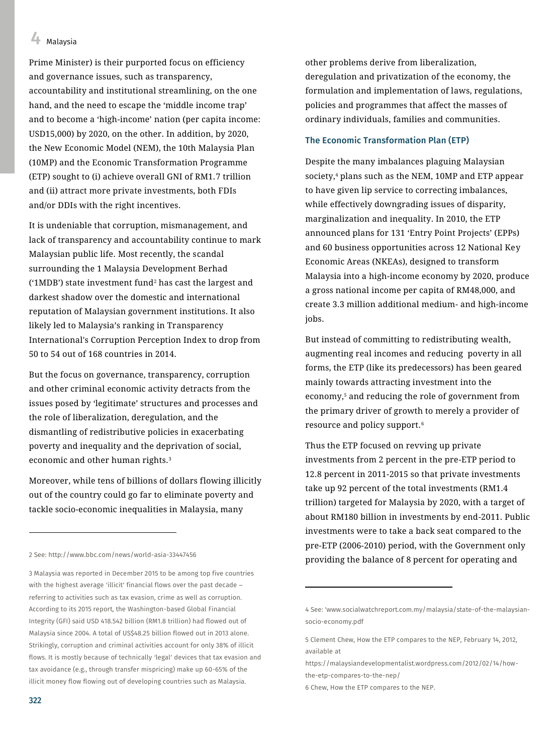Prime Minister) is their purported focus on efficiency and governance issues, such as transparency, accountability and institutional streamlining, on the one hand, and the need to escape the 'middle income trap' and to become a 'high-income' nation (per capita income: USD15,000) by 2020, on the other. In addition, by 2020, the New Economic Model (NEM), the 10th Malaysia Plan (10MP) and the Economic Transformation Programme (ETP) sought to (i) achieve overall GNI of RM1.7 trillion and (ii) attract more private investments, both FDIs and/or DDIs with the right incentives.

It is undeniable that corruption, mismanagement, and lack of transparency and accountability continue to mark Malaysian public life. Most recently, the scandal surrounding the 1 Malaysia Development Berhad ('1MDB') state investment fund<sup>2</sup> has cast the largest and darkest shadow over the domestic and international reputation of Malaysian government institutions. It also likely led to Malaysia's ranking in Transparency International's Corruption Perception Index to drop from 50 to 54 out of 168 countries in 2014.

But the focus on governance, transparency, corruption and other criminal economic activity detracts from the issues posed by 'legitimate' structures and processes and the role of liberalization, deregulation, and the dismantling of redistributive policies in exacerbating poverty and inequality and the deprivation of social, economic and other human rights.<sup>3</sup>

Moreover, while tens of billions of dollars flowing illicitly out of the country could go far to eliminate poverty and tackle socio-economic inequalities in Malaysia, many

2 See: http://www.bbc.com/news/world-asia-33447456

3 Malaysia was reported in December 2015 to be among top five countries with the highest average 'illicit' financial flows over the past decade referring to activities such as tax evasion, crime as well as corruption. According to its 2015 report, the Washington-based Global Financial Integrity (GFI) said USD 418.542 billion (RM1.8 trillion) had flowed out of Malaysia since 2004. A total of US\$48.25 billion flowed out in 2013 alone. Strikingly, corruption and criminal activities account for only 38% of illicit flows. It is mostly because of technically 'legal' devices that tax evasion and tax avoidance (e.g., through transfer mispricing) make up 60-65% of the illicit money flow flowing out of developing countries such as Malaysia.

other problems derive from liberalization, deregulation and privatization of the economy, the formulation and implementation of laws, regulations, policies and programmes that affect the masses of ordinary individuals, families and communities.

### The Economic Transformation Plan (ETP)

Despite the many imbalances plaguing Malaysian society,<sup>4</sup> plans such as the NEM, 10MP and ETP appear to have given lip service to correcting imbalances, while effectively downgrading issues of disparity, marginalization and inequality. In 2010, the ETP announced plans for 131 'Entry Point Projects' (EPPs) and 60 business opportunities across 12 National Key Economic Areas (NKEAs), designed to transform Malaysia into a high-income economy by 2020, produce a gross national income per capita of RM48,000, and create 3.3 million additional medium- and high-income jobs.

But instead of committing to redistributing wealth, augmenting real incomes and reducing poverty in all forms, the ETP (like its predecessors) has been geared mainly towards attracting investment into the economy,<sup>5</sup> and reducing the role of government from the primary driver of growth to merely a provider of resource and policy support.<sup>6</sup>

Thus the ETP focused on revving up private investments from 2 percent in the pre-ETP period to 12.8 percent in 2011-2015 so that private investments take up 92 percent of the total investments (RM1.4 trillion) targeted for Malaysia by 2020, with a target of about RM180 billion in investments by end-2011. Public investments were to take a back seat compared to the pre-ETP (2006-2010) period, with the Government only providing the balance of 8 percent for operating and

 $\overline{a}$ 

 $\overline{a}$ 

<sup>4</sup> See: ['www.socialwatchreport.com.my/malaysia/state-of-the-malaysian](http://www.socialwatchreport.com.my/%20malaysia/state-of-the-malaysian-socio-economy.pdf)[socio-economy.pdf](http://www.socialwatchreport.com.my/%20malaysia/state-of-the-malaysian-socio-economy.pdf)

<sup>5</sup> Clement Chew, How the ETP compares to the NEP, February 14, 2012, available at

https://malaysiandevelopmentalist.wordpress.com/2012/02/14/howthe-etp-compares-to-the-nep/

<sup>6</sup> Chew, How the ETP compares to the NEP.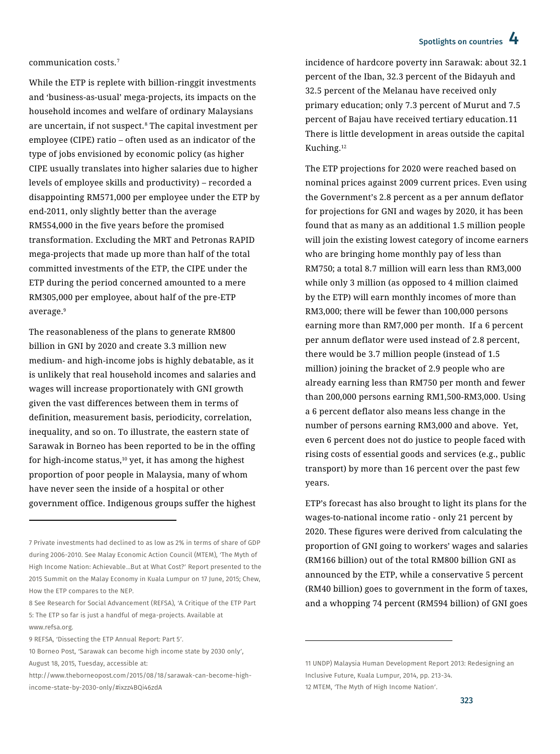communication costs.<sup>7</sup>

While the ETP is replete with billion-ringgit investments and 'business-as-usual' mega-projects, its impacts on the household incomes and welfare of ordinary Malaysians are uncertain, if not suspect.<sup>8</sup> The capital investment per employee (CIPE) ratio – often used as an indicator of the type of jobs envisioned by economic policy (as higher CIPE usually translates into higher salaries due to higher levels of employee skills and productivity) – recorded a disappointing RM571,000 per employee under the ETP by end-2011, only slightly better than the average RM554,000 in the five years before the promised transformation. Excluding the MRT and Petronas RAPID mega-projects that made up more than half of the total committed investments of the ETP, the CIPE under the ETP during the period concerned amounted to a mere RM305,000 per employee, about half of the pre-ETP average.<sup>9</sup>

The reasonableness of the plans to generate RM800 billion in GNI by 2020 and create 3.3 million new medium- and high-income jobs is highly debatable, as it is unlikely that real household incomes and salaries and wages will increase proportionately with GNI growth given the vast differences between them in terms of definition, measurement basis, periodicity, correlation, inequality, and so on. To illustrate, the eastern state of Sarawak in Borneo has been reported to be in the offing for high-income status, $10$  yet, it has among the highest proportion of poor people in Malaysia, many of whom have never seen the inside of a hospital or other government office. Indigenous groups suffer the highest

1

incidence of hardcore poverty inn Sarawak: about 32.1 percent of the Iban, 32.3 percent of the Bidayuh and 32.5 percent of the Melanau have received only primary education; only 7.3 percent of Murut and 7.5 percent of Bajau have received tertiary education.11 There is little development in areas outside the capital Kuching.<sup>12</sup>

The ETP projections for 2020 were reached based on nominal prices against 2009 current prices. Even using the Government's 2.8 percent as a per annum deflator for projections for GNI and wages by 2020, it has been found that as many as an additional 1.5 million people will join the existing lowest category of income earners who are bringing home monthly pay of less than RM750; a total 8.7 million will earn less than RM3,000 while only 3 million (as opposed to 4 million claimed by the ETP) will earn monthly incomes of more than RM3,000; there will be fewer than 100,000 persons earning more than RM7,000 per month. If a 6 percent per annum deflator were used instead of 2.8 percent, there would be 3.7 million people (instead of 1.5 million) joining the bracket of 2.9 people who are already earning less than RM750 per month and fewer than 200,000 persons earning RM1,500-RM3,000. Using a 6 percent deflator also means less change in the number of persons earning RM3,000 and above. Yet, even 6 percent does not do justice to people faced with rising costs of essential goods and services (e.g., public transport) by more than 16 percent over the past few years.

ETP's forecast has also brought to light its plans for the wages-to-national income ratio - only 21 percent by 2020. These figures were derived from calculating the proportion of GNI going to workers' wages and salaries (RM166 billion) out of the total RM800 billion GNI as announced by the ETP, while a conservative 5 percent (RM40 billion) goes to government in the form of taxes, and a whopping 74 percent (RM594 billion) of GNI goes

 $\overline{\phantom{a}}$ 

<sup>7</sup> Private investments had declined to as low as 2% in terms of share of GDP during 2006-2010. See Malay Economic Action Council (MTEM), 'The Myth of High Income Nation: Achievable…But at What Cost?' Report presented to the 2015 Summit on the Malay Economy in Kuala Lumpur on 17 June, 2015; Chew, How the ETP compares to the NEP.

<sup>8</sup> See Research for Social Advancement (REFSA), 'A Critique of the ETP Part 5: The ETP so far is just a handful of mega-projects. Available at www.refsa.org.

<sup>9</sup> REFSA, 'Dissecting the ETP Annual Report: Part 5'.

<sup>10</sup> Borneo Post, 'Sarawak can become high income state by 2030 only', August 18, 2015, Tuesday, accessible at:

[http://www.theborneopost.com/2015/08/18/sarawak-can-become-high](http://www.theborneopost.com/2015/08/18/sarawak-can-become-high-income-state-by-2030-only/#ixzz4BQi46zdA)[income-state-by-2030-only/#ixzz4BQi46zdA](http://www.theborneopost.com/2015/08/18/sarawak-can-become-high-income-state-by-2030-only/#ixzz4BQi46zdA)

<sup>11</sup> UNDP) Malaysia Human Development Report 2013: Redesigning an Inclusive Future, Kuala Lumpur, 2014, pp. 213-34. 12 MTEM, 'The Myth of High Income Nation'.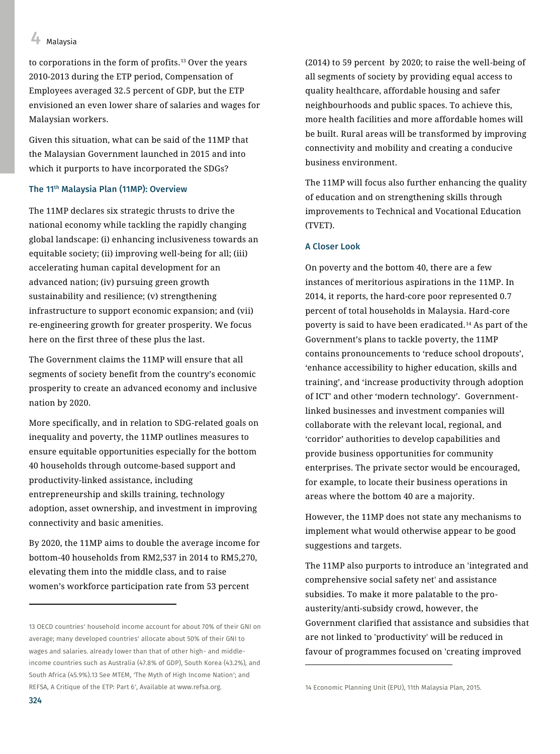to corporations in the form of profits.<sup>13</sup> Over the years 2010-2013 during the ETP period, Compensation of Employees averaged 32.5 percent of GDP, but the ETP envisioned an even lower share of salaries and wages for Malaysian workers.

Given this situation, what can be said of the 11MP that the Malaysian Government launched in 2015 and into which it purports to have incorporated the SDGs?

## The 11th Malaysia Plan (11MP): Overview

The 11MP declares six strategic thrusts to drive the national economy while tackling the rapidly changing global landscape: (i) enhancing inclusiveness towards an equitable society; (ii) improving well-being for all; (iii) accelerating human capital development for an advanced nation; (iv) pursuing green growth sustainability and resilience; (v) strengthening infrastructure to support economic expansion; and (vii) re-engineering growth for greater prosperity. We focus here on the first three of these plus the last.

The Government claims the 11MP will ensure that all segments of society benefit from the country's economic prosperity to create an advanced economy and inclusive nation by 2020.

More specifically, and in relation to SDG-related goals on inequality and poverty, the 11MP outlines measures to ensure equitable opportunities especially for the bottom 40 households through outcome-based support and productivity-linked assistance, including entrepreneurship and skills training, technology adoption, asset ownership, and investment in improving connectivity and basic amenities.

By 2020, the 11MP aims to double the average income for bottom-40 households from RM2,537 in 2014 to RM5,270, elevating them into the middle class, and to raise women's workforce participation rate from 53 percent

(2014) to 59 percent by 2020; to raise the well-being of all segments of society by providing equal access to quality healthcare, affordable housing and safer neighbourhoods and public spaces. To achieve this, more health facilities and more affordable homes will be built. Rural areas will be transformed by improving connectivity and mobility and creating a conducive business environment.

The 11MP will focus also further enhancing the quality of education and on strengthening skills through improvements to Technical and Vocational Education (TVET).

#### A Closer Look

On poverty and the bottom 40, there are a few instances of meritorious aspirations in the 11MP. In 2014, it reports, the hard-core poor represented 0.7 percent of total households in Malaysia. Hard-core poverty is said to have been eradicated.<sup>14</sup> As part of the Government's plans to tackle poverty, the 11MP contains pronouncements to 'reduce school dropouts', 'enhance accessibility to higher education, skills and training', and 'increase productivity through adoption of ICT' and other 'modern technology'. Governmentlinked businesses and investment companies will collaborate with the relevant local, regional, and 'corridor' authorities to develop capabilities and provide business opportunities for community enterprises. The private sector would be encouraged, for example, to locate their business operations in areas where the bottom 40 are a majority.

However, the 11MP does not state any mechanisms to implement what would otherwise appear to be good suggestions and targets.

The 11MP also purports to introduce an 'integrated and comprehensive social safety net' and assistance subsidies. To make it more palatable to the proausterity/anti-subsidy crowd, however, the Government clarified that assistance and subsidies that are not linked to 'productivity' will be reduced in favour of programmes focused on 'creating improved

 $\overline{\phantom{a}}$ 

1

<sup>13</sup> OECD countries' household income account for about 70% of their GNI on average; many developed countries' allocate about 50% of their GNI to wages and salaries. already lower than that of other high- and middleincome countries such as Australia (47.8% of GDP), South Korea (43.2%), and South Africa (45.9%).13 See MTEM, 'The Myth of High Income Nation'; and REFSA, A Critique of the ETP: Part 6', Available at www.refsa.org.

<sup>14</sup> Economic Planning Unit (EPU), 11th Malaysia Plan, 2015.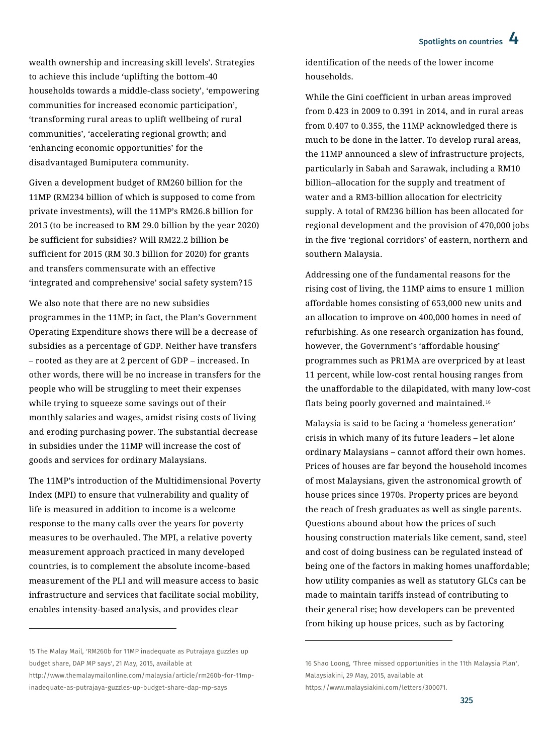wealth ownership and increasing skill levels'. Strategies to achieve this include 'uplifting the bottom-40 households towards a middle-class society', 'empowering communities for increased economic participation', 'transforming rural areas to uplift wellbeing of rural communities', 'accelerating regional growth; and 'enhancing economic opportunities' for the disadvantaged Bumiputera community.

Given a development budget of RM260 billion for the 11MP (RM234 billion of which is supposed to come from private investments), will the 11MP's RM26.8 billion for 2015 (to be increased to RM 29.0 billion by the year 2020) be sufficient for subsidies? Will RM22.2 billion be sufficient for 2015 (RM 30.3 billion for 2020) for grants and transfers commensurate with an effective 'integrated and comprehensive' social safety system?15

We also note that there are no new subsidies programmes in the 11MP; in fact, the Plan's Government Operating Expenditure shows there will be a decrease of subsidies as a percentage of GDP. Neither have transfers – rooted as they are at 2 percent of GDP – increased. In other words, there will be no increase in transfers for the people who will be struggling to meet their expenses while trying to squeeze some savings out of their monthly salaries and wages, amidst rising costs of living and eroding purchasing power. The substantial decrease in subsidies under the 11MP will increase the cost of goods and services for ordinary Malaysians.

The 11MP's introduction of the Multidimensional Poverty Index (MPI) to ensure that vulnerability and quality of life is measured in addition to income is a welcome response to the many calls over the years for poverty measures to be overhauled. The MPI, a relative poverty measurement approach practiced in many developed countries, is to complement the absolute income-based measurement of the PLI and will measure access to basic infrastructure and services that facilitate social mobility, enables intensity-based analysis, and provides clear

 $\overline{a}$ 

identification of the needs of the lower income households.

While the Gini coefficient in urban areas improved from 0.423 in 2009 to 0.391 in 2014, and in rural areas from 0.407 to 0.355, the 11MP acknowledged there is much to be done in the latter. To develop rural areas, the 11MP announced a slew of infrastructure projects, particularly in Sabah and Sarawak, including a RM10 billion–allocation for the supply and treatment of water and a RM3-billion allocation for electricity supply. A total of RM236 billion has been allocated for regional development and the provision of 470,000 jobs in the five 'regional corridors' of eastern, northern and southern Malaysia.

Addressing one of the fundamental reasons for the rising cost of living, the 11MP aims to ensure 1 million affordable homes consisting of 653,000 new units and an allocation to improve on 400,000 homes in need of refurbishing. As one research organization has found, however, the Government's 'affordable housing' programmes such as PR1MA are overpriced by at least 11 percent, while low-cost rental housing ranges from the unaffordable to the dilapidated, with many low-cost flats being poorly governed and maintained.<sup>16</sup>

Malaysia is said to be facing a 'homeless generation' crisis in which many of its future leaders – let alone ordinary Malaysians – cannot afford their own homes. Prices of houses are far beyond the household incomes of most Malaysians, given the astronomical growth of house prices since 1970s. Property prices are beyond the reach of fresh graduates as well as single parents. Questions abound about how the prices of such housing construction materials like cement, sand, steel and cost of doing business can be regulated instead of being one of the factors in making homes unaffordable; how utility companies as well as statutory GLCs can be made to maintain tariffs instead of contributing to their general rise; how developers can be prevented from hiking up house prices, such as by factoring

https://www.malaysiakini.com/letters/300071.

 $\overline{\phantom{a}}$ 

<sup>15</sup> The Malay Mail, 'RM260b for 11MP inadequate as Putrajaya guzzles up budget share, DAP MP says', 21 May, 2015, available at

http://www.themalaymailonline.com/malaysia/article/rm260b-for-11mpinadequate-as-putrajaya-guzzles-up-budget-share-dap-mp-says

<sup>16</sup> Shao Loong, 'Three missed opportunities in the 11th Malaysia Plan', Malaysiakini, 29 May, 2015, available at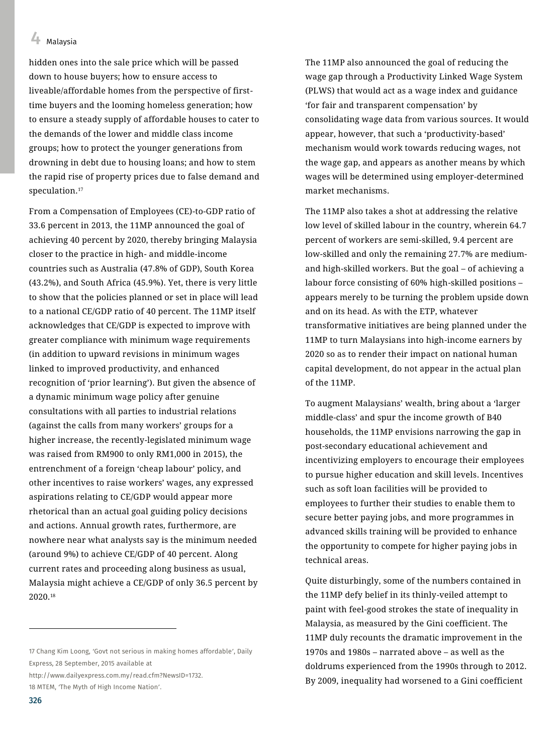hidden ones into the sale price which will be passed down to house buyers; how to ensure access to liveable/affordable homes from the perspective of firsttime buyers and the looming homeless generation; how to ensure a steady supply of affordable houses to cater to the demands of the lower and middle class income groups; how to protect the younger generations from drowning in debt due to housing loans; and how to stem the rapid rise of property prices due to false demand and speculation.<sup>17</sup>

From a Compensation of Employees (CE)-to-GDP ratio of 33.6 percent in 2013, the 11MP announced the goal of achieving 40 percent by 2020, thereby bringing Malaysia closer to the practice in high- and middle-income countries such as Australia (47.8% of GDP), South Korea (43.2%), and South Africa (45.9%). Yet, there is very little to show that the policies planned or set in place will lead to a national CE/GDP ratio of 40 percent. The 11MP itself acknowledges that CE/GDP is expected to improve with greater compliance with minimum wage requirements (in addition to upward revisions in minimum wages linked to improved productivity, and enhanced recognition of 'prior learning'). But given the absence of a dynamic minimum wage policy after genuine consultations with all parties to industrial relations (against the calls from many workers' groups for a higher increase, the recently-legislated minimum wage was raised from RM900 to only RM1,000 in 2015), the entrenchment of a foreign 'cheap labour' policy, and other incentives to raise workers' wages, any expressed aspirations relating to CE/GDP would appear more rhetorical than an actual goal guiding policy decisions and actions. Annual growth rates, furthermore, are nowhere near what analysts say is the minimum needed (around 9%) to achieve CE/GDP of 40 percent. Along current rates and proceeding along business as usual, Malaysia might achieve a CE/GDP of only 36.5 percent by 2020.<sup>18</sup>

17 Chang Kim Loong, 'Govt not serious in making homes affordable', Daily Express, 28 September, 2015 available at

[http://www.dailyexpress.com.my/read.cfm?NewsID=1732.](http://www.dailyexpress.com.my/read.cfm?NewsID=1732)

The 11MP also announced the goal of reducing the wage gap through a Productivity Linked Wage System (PLWS) that would act as a wage index and guidance 'for fair and transparent compensation' by consolidating wage data from various sources. It would appear, however, that such a 'productivity-based' mechanism would work towards reducing wages, not the wage gap, and appears as another means by which wages will be determined using employer-determined market mechanisms.

The 11MP also takes a shot at addressing the relative low level of skilled labour in the country, wherein 64.7 percent of workers are semi-skilled, 9.4 percent are low-skilled and only the remaining 27.7% are mediumand high-skilled workers. But the goal – of achieving a labour force consisting of 60% high-skilled positions – appears merely to be turning the problem upside down and on its head. As with the ETP, whatever transformative initiatives are being planned under the 11MP to turn Malaysians into high-income earners by 2020 so as to render their impact on national human capital development, do not appear in the actual plan of the 11MP.

To augment Malaysians' wealth, bring about a 'larger middle-class' and spur the income growth of B40 households, the 11MP envisions narrowing the gap in post-secondary educational achievement and incentivizing employers to encourage their employees to pursue higher education and skill levels. Incentives such as soft loan facilities will be provided to employees to further their studies to enable them to secure better paying jobs, and more programmes in advanced skills training will be provided to enhance the opportunity to compete for higher paying jobs in technical areas.

Quite disturbingly, some of the numbers contained in the 11MP defy belief in its thinly-veiled attempt to paint with feel-good strokes the state of inequality in Malaysia, as measured by the Gini coefficient. The 11MP duly recounts the dramatic improvement in the 1970s and 1980s – narrated above – as well as the doldrums experienced from the 1990s through to 2012. By 2009, inequality had worsened to a Gini coefficient

 $\overline{a}$ 

<sup>18</sup> MTEM, 'The Myth of High Income Nation'.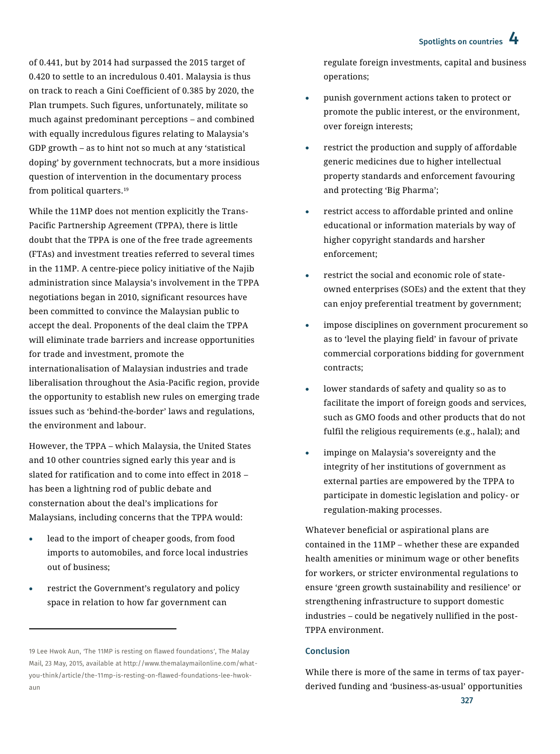of 0.441, but by 2014 had surpassed the 2015 target of 0.420 to settle to an incredulous 0.401. Malaysia is thus on track to reach a Gini Coefficient of 0.385 by 2020, the Plan trumpets. Such figures, unfortunately, militate so much against predominant perceptions – and combined with equally incredulous figures relating to Malaysia's GDP growth – as to hint not so much at any 'statistical doping' by government technocrats, but a more insidious question of intervention in the documentary process from political quarters.<sup>19</sup>

While the 11MP does not mention explicitly the Trans-Pacific Partnership Agreement (TPPA), there is little doubt that the TPPA is one of the free trade agreements (FTAs) and investment treaties referred to several times in the 11MP. A centre-piece policy initiative of the Najib administration since Malaysia's involvement in the TPPA negotiations began in 2010, significant resources have been committed to convince the Malaysian public to accept the deal. Proponents of the deal claim the TPPA will eliminate trade barriers and increase opportunities for trade and investment, promote the internationalisation of Malaysian industries and trade liberalisation throughout the Asia-Pacific region, provide the opportunity to establish new rules on emerging trade issues such as 'behind-the-border' laws and regulations, the environment and labour.

However, the TPPA – which Malaysia, the United States and 10 other countries signed early this year and is slated for ratification and to come into effect in 2018 – has been a lightning rod of public debate and consternation about the deal's implications for Malaysians, including concerns that the TPPA would:

- lead to the import of cheaper goods, from food imports to automobiles, and force local industries out of business;
- restrict the Government's regulatory and policy space in relation to how far government can

 $\overline{a}$ 

regulate foreign investments, capital and business operations;

- punish government actions taken to protect or promote the public interest, or the environment, over foreign interests;
- restrict the production and supply of affordable generic medicines due to higher intellectual property standards and enforcement favouring and protecting 'Big Pharma';
- restrict access to affordable printed and online educational or information materials by way of higher copyright standards and harsher enforcement;
- restrict the social and economic role of stateowned enterprises (SOEs) and the extent that they can enjoy preferential treatment by government;
- impose disciplines on government procurement so as to 'level the playing field' in favour of private commercial corporations bidding for government contracts;
- lower standards of safety and quality so as to facilitate the import of foreign goods and services, such as GMO foods and other products that do not fulfil the religious requirements (e.g., halal); and
- impinge on Malaysia's sovereignty and the integrity of her institutions of government as external parties are empowered by the TPPA to participate in domestic legislation and policy- or regulation-making processes.

Whatever beneficial or aspirational plans are contained in the 11MP – whether these are expanded health amenities or minimum wage or other benefits for workers, or stricter environmental regulations to ensure 'green growth sustainability and resilience' or strengthening infrastructure to support domestic industries – could be negatively nullified in the post-TPPA environment.

### Conclusion

While there is more of the same in terms of tax payerderived funding and 'business-as-usual' opportunities

<sup>19</sup> Lee Hwok Aun, The 11MP is resting on flawed foundations', The Malay Mail, 23 May, 2015, available at http://www.themalaymailonline.com/whatyou-think/article/the-11mp-is-resting-on-flawed-foundations-lee-hwokaun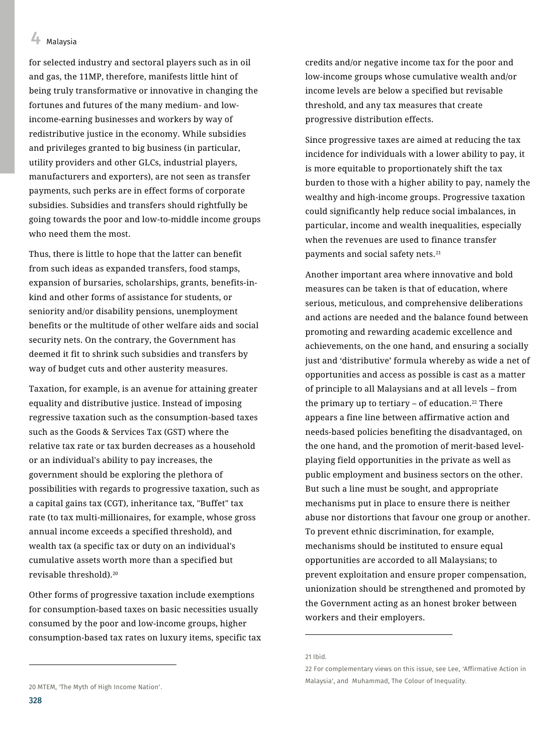for selected industry and sectoral players such as in oil and gas, the 11MP, therefore, manifests little hint of being truly transformative or innovative in changing the fortunes and futures of the many medium- and lowincome-earning businesses and workers by way of redistributive justice in the economy. While subsidies and privileges granted to big business (in particular, utility providers and other GLCs, industrial players, manufacturers and exporters), are not seen as transfer payments, such perks are in effect forms of corporate subsidies. Subsidies and transfers should rightfully be going towards the poor and low-to-middle income groups who need them the most.

Thus, there is little to hope that the latter can benefit from such ideas as expanded transfers, food stamps, expansion of bursaries, scholarships, grants, benefits-inkind and other forms of assistance for students, or seniority and/or disability pensions, unemployment benefits or the multitude of other welfare aids and social security nets. On the contrary, the Government has deemed it fit to shrink such subsidies and transfers by way of budget cuts and other austerity measures.

Taxation, for example, is an avenue for attaining greater equality and distributive justice. Instead of imposing regressive taxation such as the consumption-based taxes such as the Goods & Services Tax (GST) where the relative tax rate or tax burden decreases as a household or an individual's ability to pay increases, the government should be exploring the plethora of possibilities with regards to progressive taxation, such as a capital gains tax (CGT), inheritance tax, "Buffet" tax rate (to tax multi-millionaires, for example, whose gross annual income exceeds a specified threshold), and wealth tax (a specific tax or duty on an individual's cumulative assets worth more than a specified but revisable threshold).<sup>20</sup>

Other forms of progressive taxation include exemptions for consumption-based taxes on basic necessities usually consumed by the poor and low-income groups, higher consumption-based tax rates on luxury items, specific tax Since progressive taxes are aimed at reducing the tax incidence for individuals with a lower ability to pay, it is more equitable to proportionately shift the tax burden to those with a higher ability to pay, namely the wealthy and high-income groups. Progressive taxation could significantly help reduce social imbalances, in particular, income and wealth inequalities, especially when the revenues are used to finance transfer payments and social safety nets.<sup>21</sup>

Another important area where innovative and bold measures can be taken is that of education, where serious, meticulous, and comprehensive deliberations and actions are needed and the balance found between promoting and rewarding academic excellence and achievements, on the one hand, and ensuring a socially just and 'distributive' formula whereby as wide a net of opportunities and access as possible is cast as a matter of principle to all Malaysians and at all levels – from the primary up to tertiary  $-$  of education.<sup>22</sup> There appears a fine line between affirmative action and needs-based policies benefiting the disadvantaged, on the one hand, and the promotion of merit-based levelplaying field opportunities in the private as well as public employment and business sectors on the other. But such a line must be sought, and appropriate mechanisms put in place to ensure there is neither abuse nor distortions that favour one group or another. To prevent ethnic discrimination, for example, mechanisms should be instituted to ensure equal opportunities are accorded to all Malaysians; to prevent exploitation and ensure proper compensation, unionization should be strengthened and promoted by the Government acting as an honest broker between workers and their employers.

 $\overline{a}$ 

 $\overline{a}$ 

credits and/or negative income tax for the poor and low-income groups whose cumulative wealth and/or income levels are below a specified but revisable threshold, and any tax measures that create progressive distribution effects.

<sup>21</sup> Ibid.

<sup>22</sup> For complementary views on this issue, see Lee, 'Affirmative Action in Malaysia', and Muhammad, The Colour of Inequality.

<sup>20</sup> MTEM, 'The Myth of High Income Nation'.